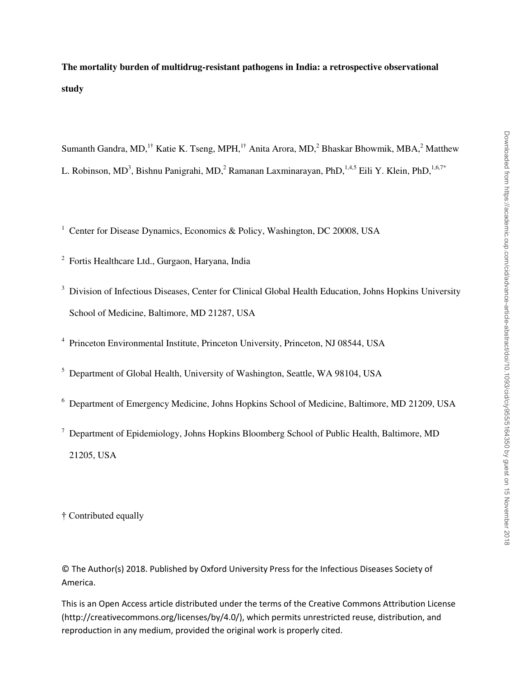**The mortality burden of multidrug-resistant pathogens in India: a retrospective observational study** 

Sumanth Gandra, MD,<sup>1†</sup> Katie K. Tseng, MPH,<sup>1†</sup> Anita Arora, MD,<sup>2</sup> Bhaskar Bhowmik, MBA,<sup>2</sup> Matthew L. Robinson, MD<sup>3</sup>, Bishnu Panigrahi, MD,<sup>2</sup> Ramanan Laxminarayan, PhD,<sup>1,4,5</sup> Eili Y. Klein, PhD,<sup>1,6,7\*</sup>

- <sup>1</sup> Center for Disease Dynamics, Economics & Policy, Washington, DC 20008, USA
- <sup>2</sup> Fortis Healthcare Ltd., Gurgaon, Haryana, India
- <sup>3</sup> Division of Infectious Diseases, Center for Clinical Global Health Education, Johns Hopkins University School of Medicine, Baltimore, MD 21287, USA
- <sup>4</sup> Princeton Environmental Institute, Princeton University, Princeton, NJ 08544, USA
- <sup>5</sup> Department of Global Health, University of Washington, Seattle, WA 98104, USA
- $6$  Department of Emergency Medicine, Johns Hopkins School of Medicine, Baltimore, MD 21209, USA
- <sup>7</sup>Department of Epidemiology, Johns Hopkins Bloomberg School of Public Health, Baltimore, MD 21205, USA

† Contributed equally

© The Author(s) 2018. Published by Oxford University Press for the Infectious Diseases Society of America.

This is an Open Access article distributed under the terms of the Creative Commons Attribution License (http://creativecommons.org/licenses/by/4.0/), which permits unrestricted reuse, distribution, and reproduction in any medium, provided the original work is properly cited.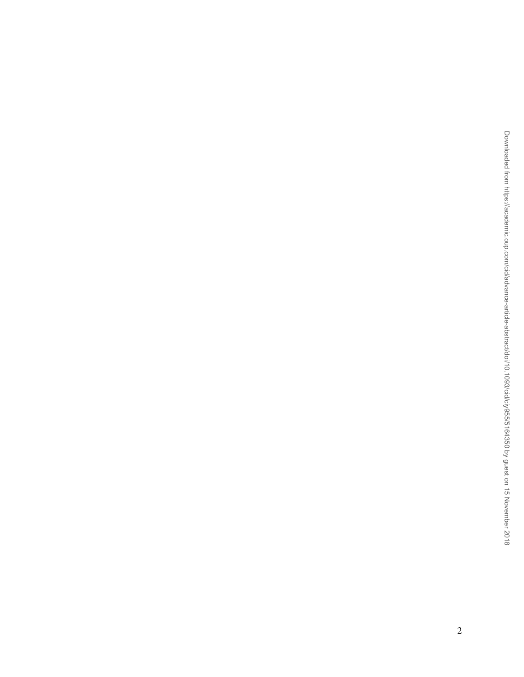Downloaded from https://academic.oup.com/cid/advance-article-abstract/doi/10.1093/cid/ciy955/5164350 by guest on 15 November 2018 Downloaded from https://academic.oup.com/cid/advance-article-abstract/doi/10.1093/cid/ciy955/5164350 by guest on 15 November 2018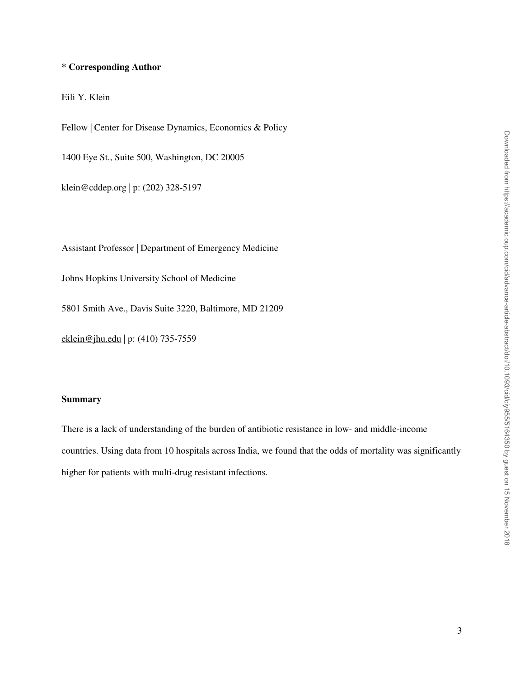## **\* Corresponding Author**

Eili Y. Klein

Fellow | Center for Disease Dynamics, Economics & Policy

1400 Eye St., Suite 500, Washington, DC 20005

[klein@cddep.org](mailto:klein@cddep.org) | p: (202) 328-5197

Assistant Professor | Department of Emergency Medicine

Johns Hopkins University School of Medicine

5801 Smith Ave., Davis Suite 3220, Baltimore, MD 21209

[eklein@jhu.edu](mailto:eklein@jhu.edu) | p: (410) 735-7559

## **Summary**

There is a lack of understanding of the burden of antibiotic resistance in low- and middle-income countries. Using data from 10 hospitals across India, we found that the odds of mortality was significantly higher for patients with multi-drug resistant infections.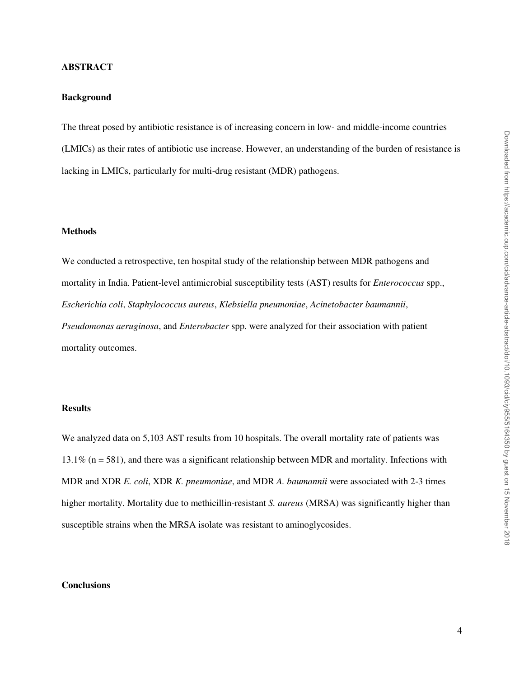## **ABSTRACT**

### **Background**

The threat posed by antibiotic resistance is of increasing concern in low- and middle-income countries (LMICs) as their rates of antibiotic use increase. However, an understanding of the burden of resistance is lacking in LMICs, particularly for multi-drug resistant (MDR) pathogens.

### **Methods**

We conducted a retrospective, ten hospital study of the relationship between MDR pathogens and mortality in India. Patient-level antimicrobial susceptibility tests (AST) results for *Enterococcus* spp., *Escherichia coli*, *Staphylococcus aureus*, *Klebsiella pneumoniae*, *Acinetobacter baumannii*, *Pseudomonas aeruginosa*, and *Enterobacter* spp. were analyzed for their association with patient mortality outcomes.

### **Results**

We analyzed data on 5,103 AST results from 10 hospitals. The overall mortality rate of patients was 13.1% (n = 581), and there was a significant relationship between MDR and mortality. Infections with MDR and XDR *E. coli*, XDR *K. pneumoniae*, and MDR *A. baumannii* were associated with 2-3 times higher mortality. Mortality due to methicillin-resistant *S. aureus* (MRSA) was significantly higher than susceptible strains when the MRSA isolate was resistant to aminoglycosides.

### **Conclusions**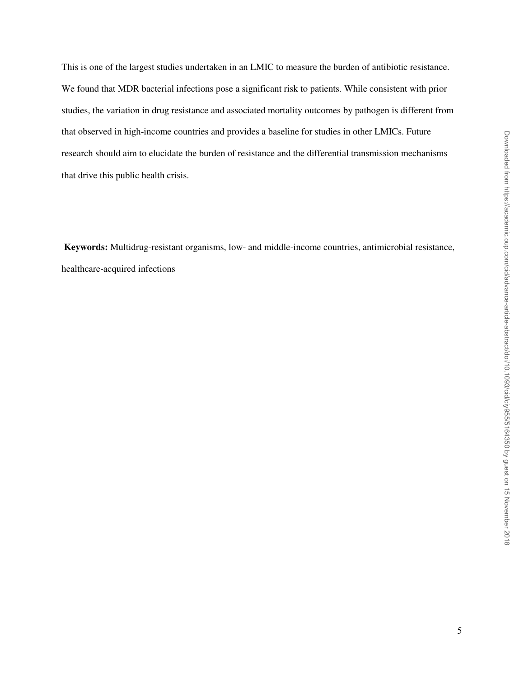This is one of the largest studies undertaken in an LMIC to measure the burden of antibiotic resistance. We found that MDR bacterial infections pose a significant risk to patients. While consistent with prior studies, the variation in drug resistance and associated mortality outcomes by pathogen is different from that observed in high-income countries and provides a baseline for studies in other LMICs. Future research should aim to elucidate the burden of resistance and the differential transmission mechanisms that drive this public health crisis.

**Keywords:** Multidrug-resistant organisms, low- and middle-income countries, antimicrobial resistance, healthcare-acquired infections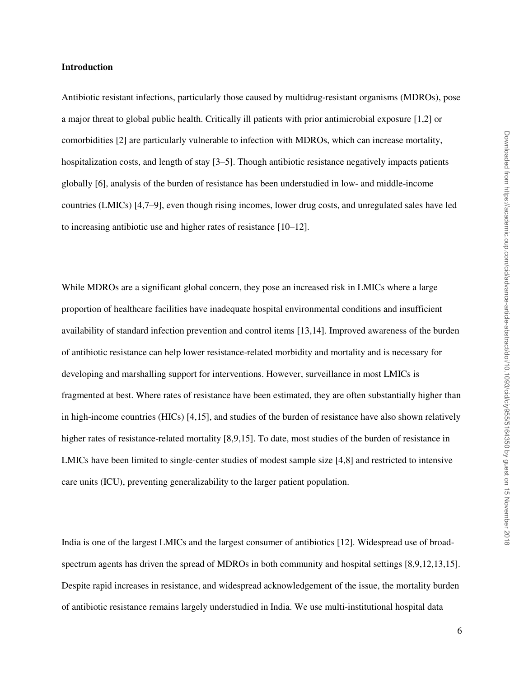Antibiotic resistant infections, particularly those caused by multidrug-resistant organisms (MDROs), pose a major threat to global public health. Critically ill patients with prior antimicrobial exposure [1,2] or comorbidities [2] are particularly vulnerable to infection with MDROs, which can increase mortality, hospitalization costs, and length of stay  $[3–5]$ . Though antibiotic resistance negatively impacts patients globally [6], analysis of the burden of resistance has been understudied in low- and middle-income countries (LMICs) [4,7–9], even though rising incomes, lower drug costs, and unregulated sales have led to increasing antibiotic use and higher rates of resistance [10–12].

While MDROs are a significant global concern, they pose an increased risk in LMICs where a large proportion of healthcare facilities have inadequate hospital environmental conditions and insufficient availability of standard infection prevention and control items [13,14]. Improved awareness of the burden of antibiotic resistance can help lower resistance-related morbidity and mortality and is necessary for developing and marshalling support for interventions. However, surveillance in most LMICs is fragmented at best. Where rates of resistance have been estimated, they are often substantially higher than in high-income countries (HICs) [4,15], and studies of the burden of resistance have also shown relatively higher rates of resistance-related mortality [8,9,15]. To date, most studies of the burden of resistance in LMICs have been limited to single-center studies of modest sample size [4,8] and restricted to intensive care units (ICU), preventing generalizability to the larger patient population.

India is one of the largest LMICs and the largest consumer of antibiotics [12]. Widespread use of broadspectrum agents has driven the spread of MDROs in both community and hospital settings [8,9,12,13,15]. Despite rapid increases in resistance, and widespread acknowledgement of the issue, the mortality burden of antibiotic resistance remains largely understudied in India. We use multi-institutional hospital data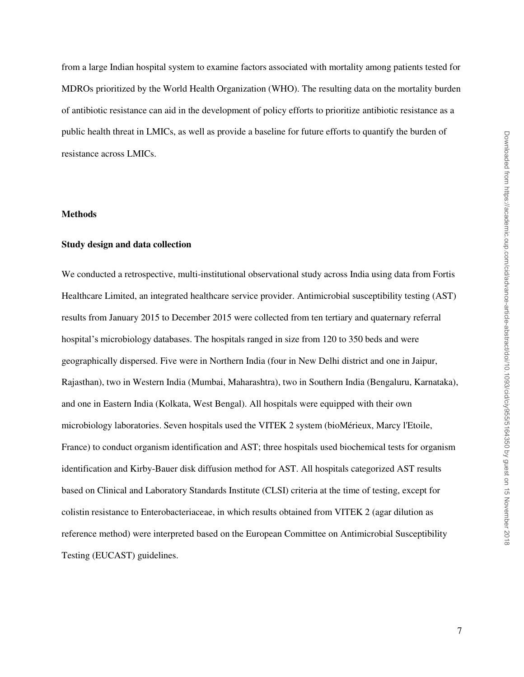from a large Indian hospital system to examine factors associated with mortality among patients tested for MDROs prioritized by the World Health Organization (WHO). The resulting data on the mortality burden of antibiotic resistance can aid in the development of policy efforts to prioritize antibiotic resistance as a public health threat in LMICs, as well as provide a baseline for future efforts to quantify the burden of resistance across LMICs.

### **Methods**

## **Study design and data collection**

We conducted a retrospective, multi-institutional observational study across India using data from Fortis Healthcare Limited, an integrated healthcare service provider. Antimicrobial susceptibility testing (AST) results from January 2015 to December 2015 were collected from ten tertiary and quaternary referral hospital's microbiology databases. The hospitals ranged in size from 120 to 350 beds and were geographically dispersed. Five were in Northern India (four in New Delhi district and one in Jaipur, Rajasthan), two in Western India (Mumbai, Maharashtra), two in Southern India (Bengaluru, Karnataka), and one in Eastern India (Kolkata, West Bengal). All hospitals were equipped with their own microbiology laboratories. Seven hospitals used the VITEK 2 system (bioMérieux, Marcy l'Etoile, France) to conduct organism identification and AST; three hospitals used biochemical tests for organism identification and Kirby-Bauer disk diffusion method for AST. All hospitals categorized AST results based on Clinical and Laboratory Standards Institute (CLSI) criteria at the time of testing, except for colistin resistance to Enterobacteriaceae, in which results obtained from VITEK 2 (agar dilution as reference method) were interpreted based on the European Committee on Antimicrobial Susceptibility Testing (EUCAST) guidelines.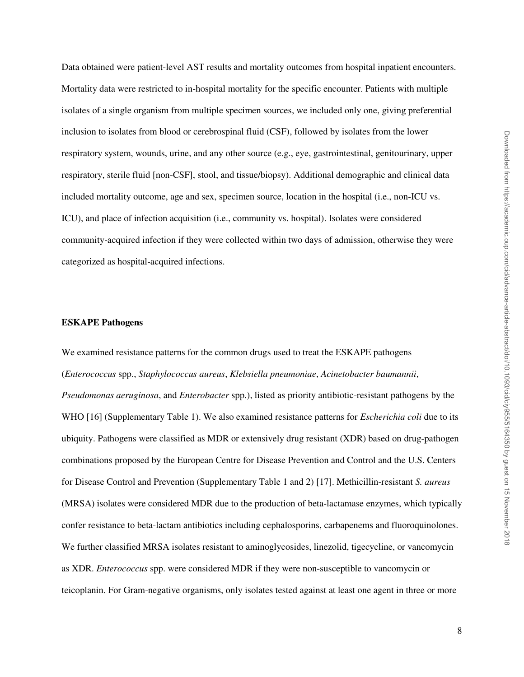Data obtained were patient-level AST results and mortality outcomes from hospital inpatient encounters. Mortality data were restricted to in-hospital mortality for the specific encounter. Patients with multiple isolates of a single organism from multiple specimen sources, we included only one, giving preferential inclusion to isolates from blood or cerebrospinal fluid (CSF), followed by isolates from the lower respiratory system, wounds, urine, and any other source (e.g., eye, gastrointestinal, genitourinary, upper respiratory, sterile fluid [non-CSF], stool, and tissue/biopsy). Additional demographic and clinical data included mortality outcome, age and sex, specimen source, location in the hospital (i.e., non-ICU vs. ICU), and place of infection acquisition (i.e., community vs. hospital). Isolates were considered community-acquired infection if they were collected within two days of admission, otherwise they were categorized as hospital-acquired infections.

#### **ESKAPE Pathogens**

We examined resistance patterns for the common drugs used to treat the ESKAPE pathogens (*Enterococcus* spp., *Staphylococcus aureus*, *Klebsiella pneumoniae*, *Acinetobacter baumannii*, *Pseudomonas aeruginosa*, and *Enterobacter* spp.), listed as priority antibiotic-resistant pathogens by the WHO [16] (Supplementary Table 1). We also examined resistance patterns for *Escherichia coli* due to its ubiquity. Pathogens were classified as MDR or extensively drug resistant (XDR) based on drug-pathogen combinations proposed by the European Centre for Disease Prevention and Control and the U.S. Centers for Disease Control and Prevention (Supplementary Table 1 and 2) [17]. Methicillin-resistant *S. aureus* (MRSA) isolates were considered MDR due to the production of beta-lactamase enzymes, which typically confer resistance to beta-lactam antibiotics including cephalosporins, carbapenems and fluoroquinolones. We further classified MRSA isolates resistant to aminoglycosides, linezolid, tigecycline, or vancomycin as XDR. *Enterococcus* spp. were considered MDR if they were non-susceptible to vancomycin or teicoplanin. For Gram-negative organisms, only isolates tested against at least one agent in three or more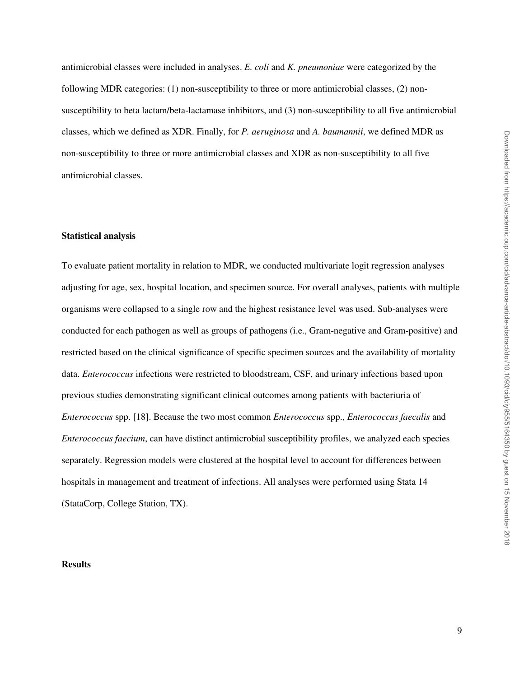antimicrobial classes were included in analyses. *E. coli* and *K. pneumoniae* were categorized by the following MDR categories: (1) non-susceptibility to three or more antimicrobial classes, (2) nonsusceptibility to beta lactam/beta-lactamase inhibitors, and (3) non-susceptibility to all five antimicrobial classes, which we defined as XDR. Finally, for *P. aeruginosa* and *A. baumannii*, we defined MDR as non-susceptibility to three or more antimicrobial classes and XDR as non-susceptibility to all five antimicrobial classes.

### **Statistical analysis**

To evaluate patient mortality in relation to MDR, we conducted multivariate logit regression analyses adjusting for age, sex, hospital location, and specimen source. For overall analyses, patients with multiple organisms were collapsed to a single row and the highest resistance level was used. Sub-analyses were conducted for each pathogen as well as groups of pathogens (i.e., Gram-negative and Gram-positive) and restricted based on the clinical significance of specific specimen sources and the availability of mortality data. *Enterococcus* infections were restricted to bloodstream, CSF, and urinary infections based upon previous studies demonstrating significant clinical outcomes among patients with bacteriuria of *Enterococcus* spp. [18]. Because the two most common *Enterococcus* spp., *Enterococcus faecalis* and *Enterococcus faecium*, can have distinct antimicrobial susceptibility profiles, we analyzed each species separately. Regression models were clustered at the hospital level to account for differences between hospitals in management and treatment of infections. All analyses were performed using Stata 14 (StataCorp, College Station, TX).

### **Results**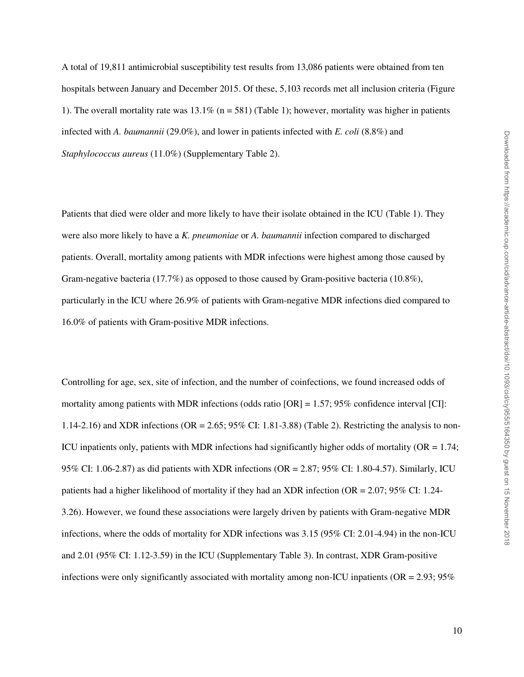A total of 19,811 antimicrobial susceptibility test results from 13,086 patients were obtained from ten hospitals between January and December 2015. Of these, 5,103 records met all inclusion criteria (Figure 1). The overall mortality rate was  $13.1\%$  (n = 581) (Table 1); however, mortality was higher in patients infected with *A. baumannii* (29.0%), and lower in patients infected with *E. coli* (8.8%) and *Staphylococcus aureus* (11.0%) (Supplementary Table 2).

Patients that died were older and more likely to have their isolate obtained in the ICU (Table 1). They were also more likely to have a *K. pneumoniae* or *A. baumannii* infection compared to discharged patients. Overall, mortality among patients with MDR infections were highest among those caused by Gram-negative bacteria (17.7%) as opposed to those caused by Gram-positive bacteria (10.8%), particularly in the ICU where 26.9% of patients with Gram-negative MDR infections died compared to 16.0% of patients with Gram-positive MDR infections.

Controlling for age, sex, site of infection, and the number of coinfections, we found increased odds of mortality among patients with MDR infections (odds ratio [OR] = 1.57; 95% confidence interval [CI]: 1.14-2.16) and XDR infections (OR = 2.65; 95% CI: 1.81-3.88) (Table 2). Restricting the analysis to non-ICU inpatients only, patients with MDR infections had significantly higher odds of mortality ( $OR = 1.74$ ; 95% CI: 1.06-2.87) as did patients with XDR infections (OR = 2.87; 95% CI: 1.80-4.57). Similarly, ICU patients had a higher likelihood of mortality if they had an XDR infection (OR = 2.07; 95% CI: 1.24- 3.26). However, we found these associations were largely driven by patients with Gram-negative MDR infections, where the odds of mortality for XDR infections was 3.15 (95% CI: 2.01-4.94) in the non-ICU and 2.01 (95% CI: 1.12-3.59) in the ICU (Supplementary Table 3). In contrast, XDR Gram-positive infections were only significantly associated with mortality among non-ICU inpatients ( $OR = 2.93$ ;  $95\%$ )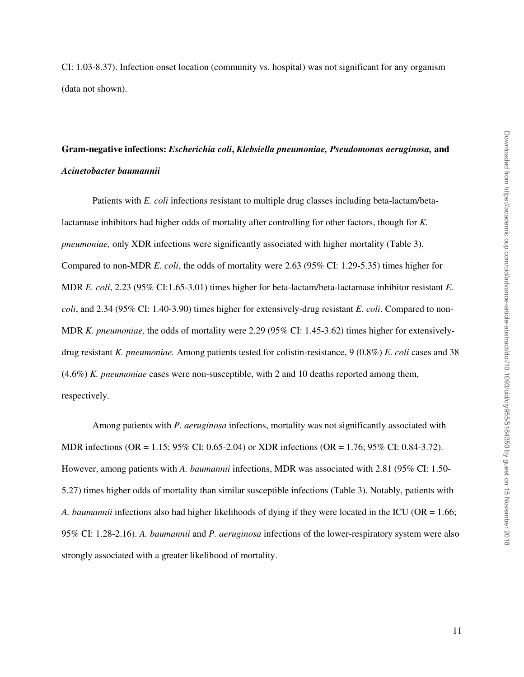CI: 1.03-8.37). Infection onset location (community vs. hospital) was not significant for any organism (data not shown).

# **Gram-negative infections:** *Escherichia coli***,** *Klebsiella pneumoniae, Pseudomonas aeruginosa,* **and** *Acinetobacter baumannii*

 Patients with *E. coli* infections resistant to multiple drug classes including beta-lactam/betalactamase inhibitors had higher odds of mortality after controlling for other factors, though for *K. pneumoniae,* only XDR infections were significantly associated with higher mortality (Table 3). Compared to non-MDR *E. coli*, the odds of mortality were 2.63 (95% CI: 1.29-5.35) times higher for MDR *E. coli*, 2.23 (95% CI:1.65-3.01) times higher for beta-lactam/beta-lactamase inhibitor resistant *E. coli*, and 2.34 (95% CI: 1.40-3.90) times higher for extensively-drug resistant *E. coli*. Compared to non-MDR *K. pneumoniae,* the odds of mortality were 2.29 (95% CI: 1.45-3.62) times higher for extensivelydrug resistant *K. pneumoniae.* Among patients tested for colistin-resistance, 9 (0.8%) *E. coli* cases and 38 (4.6%) *K. pneumoniae* cases were non-susceptible, with 2 and 10 deaths reported among them, respectively.

Among patients with *P. aeruginosa* infections, mortality was not significantly associated with MDR infections (OR = 1.15; 95% CI: 0.65-2.04) or XDR infections (OR = 1.76; 95% CI: 0.84-3.72). However, among patients with *A. baumannii* infections, MDR was associated with 2.81 (95% CI: 1.50- 5.27) times higher odds of mortality than similar susceptible infections (Table 3). Notably, patients with *A. baumannii* infections also had higher likelihoods of dying if they were located in the ICU (OR = 1.66; 95% CI: 1.28-2.16). *A. baumannii* and *P. aeruginosa* infections of the lower-respiratory system were also strongly associated with a greater likelihood of mortality.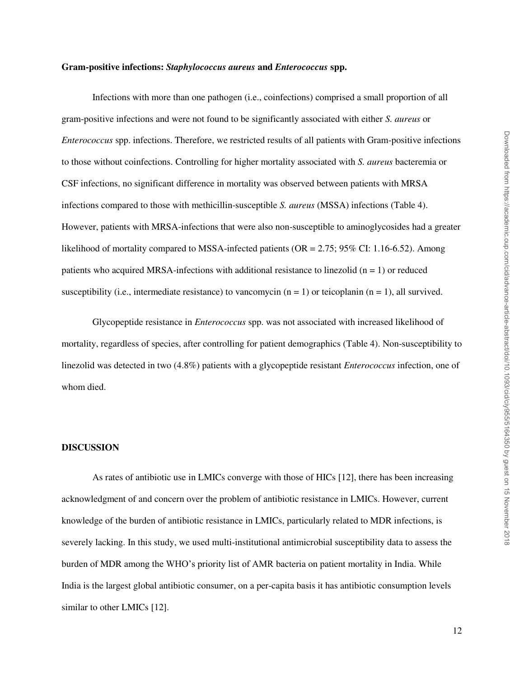### **Gram-positive infections:** *Staphylococcus aureus* **and** *Enterococcus* **spp.**

 Infections with more than one pathogen (i.e., coinfections) comprised a small proportion of all gram-positive infections and were not found to be significantly associated with either *S. aureus* or *Enterococcus* spp. infections. Therefore, we restricted results of all patients with Gram-positive infections to those without coinfections. Controlling for higher mortality associated with *S. aureus* bacteremia or CSF infections, no significant difference in mortality was observed between patients with MRSA infections compared to those with methicillin-susceptible *S. aureus* (MSSA) infections (Table 4). However, patients with MRSA-infections that were also non-susceptible to aminoglycosides had a greater likelihood of mortality compared to MSSA-infected patients (OR = 2.75; 95% CI: 1.16-6.52). Among patients who acquired MRSA-infections with additional resistance to linezolid ( $n = 1$ ) or reduced susceptibility (i.e., intermediate resistance) to vancomycin  $(n = 1)$  or teicoplanin  $(n = 1)$ , all survived.

 Glycopeptide resistance in *Enterococcus* spp. was not associated with increased likelihood of mortality, regardless of species, after controlling for patient demographics (Table 4). Non-susceptibility to linezolid was detected in two (4.8%) patients with a glycopeptide resistant *Enterococcus* infection, one of whom died.

## **DISCUSSION**

As rates of antibiotic use in LMICs converge with those of HICs [12], there has been increasing acknowledgment of and concern over the problem of antibiotic resistance in LMICs. However, current knowledge of the burden of antibiotic resistance in LMICs, particularly related to MDR infections, is severely lacking. In this study, we used multi-institutional antimicrobial susceptibility data to assess the burden of MDR among the WHO's priority list of AMR bacteria on patient mortality in India. While India is the largest global antibiotic consumer, on a per-capita basis it has antibiotic consumption levels similar to other LMICs [12].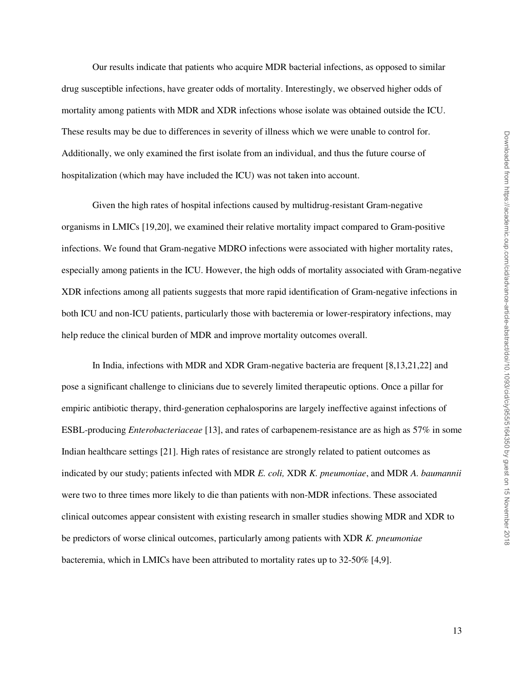Our results indicate that patients who acquire MDR bacterial infections, as opposed to similar drug susceptible infections, have greater odds of mortality. Interestingly, we observed higher odds of mortality among patients with MDR and XDR infections whose isolate was obtained outside the ICU. These results may be due to differences in severity of illness which we were unable to control for. Additionally, we only examined the first isolate from an individual, and thus the future course of hospitalization (which may have included the ICU) was not taken into account.

Given the high rates of hospital infections caused by multidrug-resistant Gram-negative organisms in LMICs [19,20], we examined their relative mortality impact compared to Gram-positive infections. We found that Gram-negative MDRO infections were associated with higher mortality rates, especially among patients in the ICU. However, the high odds of mortality associated with Gram-negative XDR infections among all patients suggests that more rapid identification of Gram-negative infections in both ICU and non-ICU patients, particularly those with bacteremia or lower-respiratory infections, may help reduce the clinical burden of MDR and improve mortality outcomes overall.

In India, infections with MDR and XDR Gram-negative bacteria are frequent [8,13,21,22] and pose a significant challenge to clinicians due to severely limited therapeutic options. Once a pillar for empiric antibiotic therapy, third-generation cephalosporins are largely ineffective against infections of ESBL-producing *Enterobacteriaceae* [13], and rates of carbapenem-resistance are as high as 57% in some Indian healthcare settings [21]. High rates of resistance are strongly related to patient outcomes as indicated by our study; patients infected with MDR *E. coli,* XDR *K. pneumoniae*, and MDR *A. baumannii*  were two to three times more likely to die than patients with non-MDR infections. These associated clinical outcomes appear consistent with existing research in smaller studies showing MDR and XDR to be predictors of worse clinical outcomes, particularly among patients with XDR *K. pneumoniae* bacteremia, which in LMICs have been attributed to mortality rates up to 32-50% [4,9].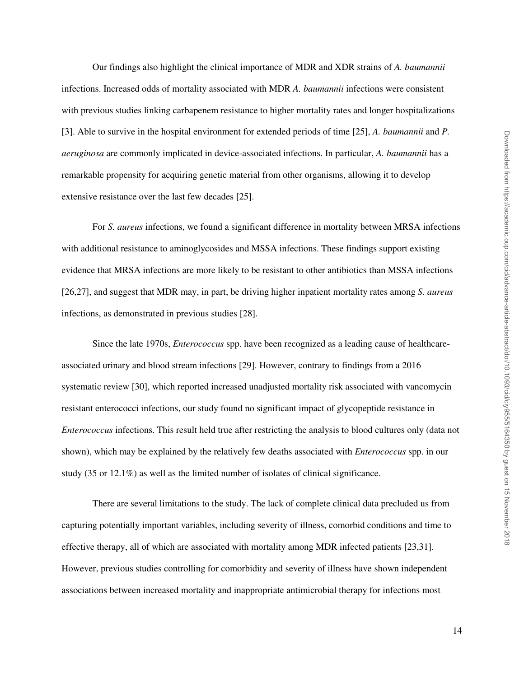Our findings also highlight the clinical importance of MDR and XDR strains of *A. baumannii* infections. Increased odds of mortality associated with MDR *A. baumannii* infections were consistent with previous studies linking carbapenem resistance to higher mortality rates and longer hospitalizations [3]. Able to survive in the hospital environment for extended periods of time [25], *A. baumannii* and *P. aeruginosa* are commonly implicated in device-associated infections. In particular, *A. baumannii* has a remarkable propensity for acquiring genetic material from other organisms, allowing it to develop extensive resistance over the last few decades [25].

For *S. aureus* infections, we found a significant difference in mortality between MRSA infections with additional resistance to aminoglycosides and MSSA infections. These findings support existing evidence that MRSA infections are more likely to be resistant to other antibiotics than MSSA infections [26,27], and suggest that MDR may, in part, be driving higher inpatient mortality rates among *S. aureus* infections, as demonstrated in previous studies [28].

Since the late 1970s, *Enterococcus* spp. have been recognized as a leading cause of healthcareassociated urinary and blood stream infections [29]. However, contrary to findings from a 2016 systematic review [30], which reported increased unadjusted mortality risk associated with vancomycin resistant enterococci infections, our study found no significant impact of glycopeptide resistance in *Enterococcus* infections. This result held true after restricting the analysis to blood cultures only (data not shown), which may be explained by the relatively few deaths associated with *Enterococcus* spp. in our study (35 or 12.1%) as well as the limited number of isolates of clinical significance.

There are several limitations to the study. The lack of complete clinical data precluded us from capturing potentially important variables, including severity of illness, comorbid conditions and time to effective therapy, all of which are associated with mortality among MDR infected patients [23,31]. However, previous studies controlling for comorbidity and severity of illness have shown independent associations between increased mortality and inappropriate antimicrobial therapy for infections most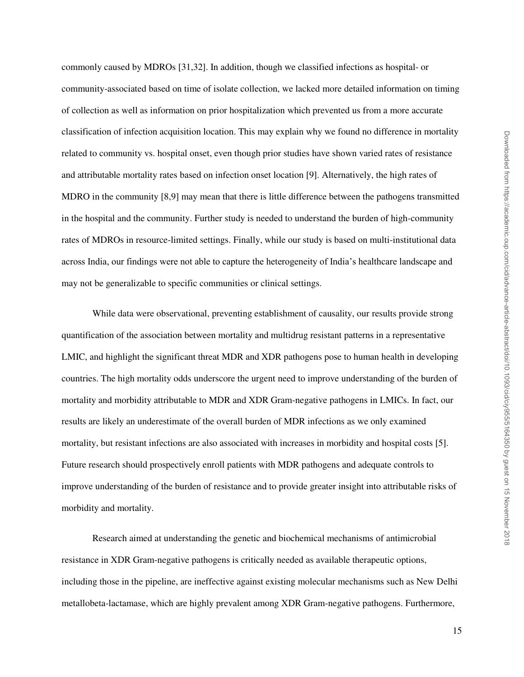commonly caused by MDROs [31,32]. In addition, though we classified infections as hospital- or community-associated based on time of isolate collection, we lacked more detailed information on timing of collection as well as information on prior hospitalization which prevented us from a more accurate classification of infection acquisition location. This may explain why we found no difference in mortality related to community vs. hospital onset, even though prior studies have shown varied rates of resistance and attributable mortality rates based on infection onset location [9]. Alternatively, the high rates of MDRO in the community [8,9] may mean that there is little difference between the pathogens transmitted in the hospital and the community. Further study is needed to understand the burden of high-community rates of MDROs in resource-limited settings. Finally, while our study is based on multi-institutional data across India, our findings were not able to capture the heterogeneity of India's healthcare landscape and may not be generalizable to specific communities or clinical settings.

 While data were observational, preventing establishment of causality, our results provide strong quantification of the association between mortality and multidrug resistant patterns in a representative LMIC, and highlight the significant threat MDR and XDR pathogens pose to human health in developing countries. The high mortality odds underscore the urgent need to improve understanding of the burden of mortality and morbidity attributable to MDR and XDR Gram-negative pathogens in LMICs. In fact, our results are likely an underestimate of the overall burden of MDR infections as we only examined mortality, but resistant infections are also associated with increases in morbidity and hospital costs [5]. Future research should prospectively enroll patients with MDR pathogens and adequate controls to improve understanding of the burden of resistance and to provide greater insight into attributable risks of morbidity and mortality.

Research aimed at understanding the genetic and biochemical mechanisms of antimicrobial resistance in XDR Gram-negative pathogens is critically needed as available therapeutic options, including those in the pipeline, are ineffective against existing molecular mechanisms such as New Delhi metallobeta-lactamase, which are highly prevalent among XDR Gram-negative pathogens. Furthermore,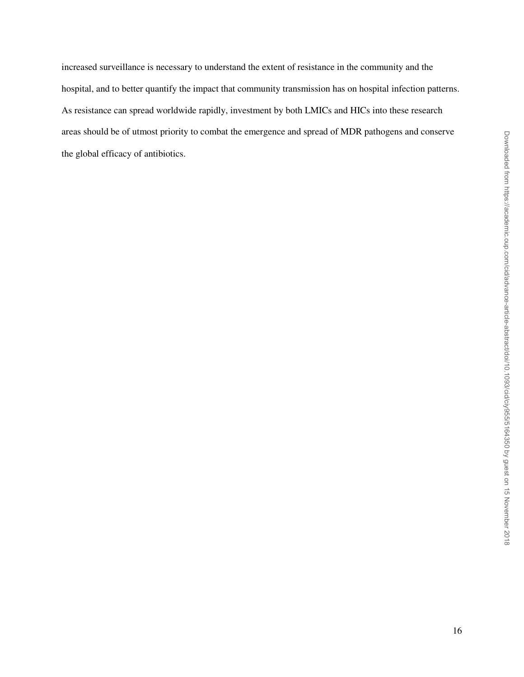increased surveillance is necessary to understand the extent of resistance in the community and the hospital, and to better quantify the impact that community transmission has on hospital infection patterns. As resistance can spread worldwide rapidly, investment by both LMICs and HICs into these research areas should be of utmost priority to combat the emergence and spread of MDR pathogens and conserve the global efficacy of antibiotics.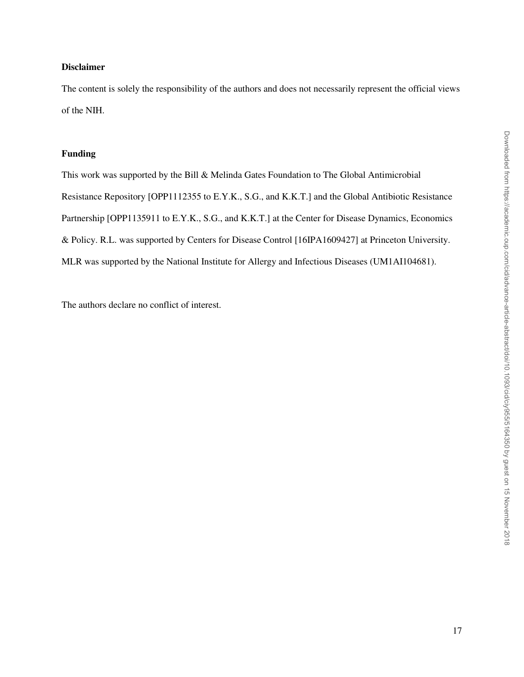## **Disclaimer**

The content is solely the responsibility of the authors and does not necessarily represent the official views of the NIH.

## **Funding**

This work was supported by the Bill & Melinda Gates Foundation to The Global Antimicrobial Resistance Repository [OPP1112355 to E.Y.K., S.G., and K.K.T.] and the Global Antibiotic Resistance Partnership [OPP1135911 to E.Y.K., S.G., and K.K.T.] at the Center for Disease Dynamics, Economics & Policy. R.L. was supported by Centers for Disease Control [16IPA1609427] at Princeton University. MLR was supported by the National Institute for Allergy and Infectious Diseases (UM1AI104681).

The authors declare no conflict of interest.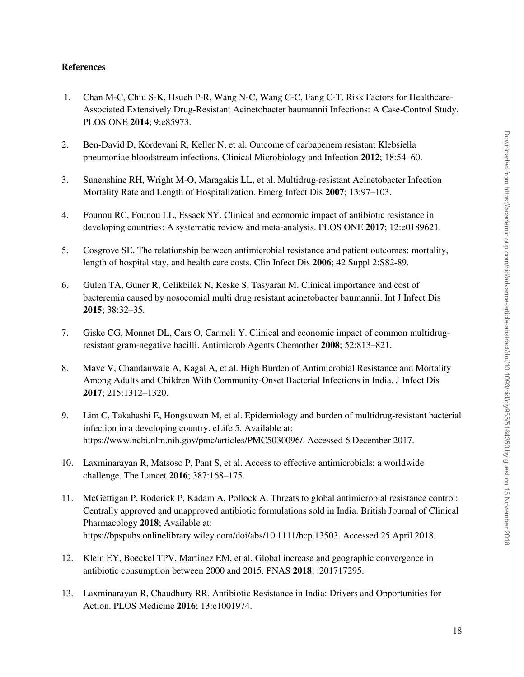### **References**

- 1. Chan M-C, Chiu S-K, Hsueh P-R, Wang N-C, Wang C-C, Fang C-T. Risk Factors for Healthcare-Associated Extensively Drug-Resistant Acinetobacter baumannii Infections: A Case-Control Study. PLOS ONE **2014**; 9:e85973.
- 2. Ben-David D, Kordevani R, Keller N, et al. Outcome of carbapenem resistant Klebsiella pneumoniae bloodstream infections. Clinical Microbiology and Infection **2012**; 18:54–60.
- 3. Sunenshine RH, Wright M-O, Maragakis LL, et al. Multidrug-resistant Acinetobacter Infection Mortality Rate and Length of Hospitalization. Emerg Infect Dis **2007**; 13:97–103.
- 4. Founou RC, Founou LL, Essack SY. Clinical and economic impact of antibiotic resistance in developing countries: A systematic review and meta-analysis. PLOS ONE **2017**; 12:e0189621.
- 5. Cosgrove SE. The relationship between antimicrobial resistance and patient outcomes: mortality, length of hospital stay, and health care costs. Clin Infect Dis **2006**; 42 Suppl 2:S82-89.
- 6. Gulen TA, Guner R, Celikbilek N, Keske S, Tasyaran M. Clinical importance and cost of bacteremia caused by nosocomial multi drug resistant acinetobacter baumannii. Int J Infect Dis **2015**; 38:32–35.
- 7. Giske CG, Monnet DL, Cars O, Carmeli Y. Clinical and economic impact of common multidrugresistant gram-negative bacilli. Antimicrob Agents Chemother **2008**; 52:813–821.
- 8. Mave V, Chandanwale A, Kagal A, et al. High Burden of Antimicrobial Resistance and Mortality Among Adults and Children With Community-Onset Bacterial Infections in India. J Infect Dis **2017**; 215:1312–1320.
- 9. Lim C, Takahashi E, Hongsuwan M, et al. Epidemiology and burden of multidrug-resistant bacterial infection in a developing country. eLife 5. Available at: https://www.ncbi.nlm.nih.gov/pmc/articles/PMC5030096/. Accessed 6 December 2017.
- 10. Laxminarayan R, Matsoso P, Pant S, et al. Access to effective antimicrobials: a worldwide challenge. The Lancet **2016**; 387:168–175.
- 11. McGettigan P, Roderick P, Kadam A, Pollock A. Threats to global antimicrobial resistance control: Centrally approved and unapproved antibiotic formulations sold in India. British Journal of Clinical Pharmacology **2018**; Available at: https://bpspubs.onlinelibrary.wiley.com/doi/abs/10.1111/bcp.13503. Accessed 25 April 2018.
- 12. Klein EY, Boeckel TPV, Martinez EM, et al. Global increase and geographic convergence in antibiotic consumption between 2000 and 2015. PNAS **2018**; :201717295.
- 13. Laxminarayan R, Chaudhury RR. Antibiotic Resistance in India: Drivers and Opportunities for Action. PLOS Medicine **2016**; 13:e1001974.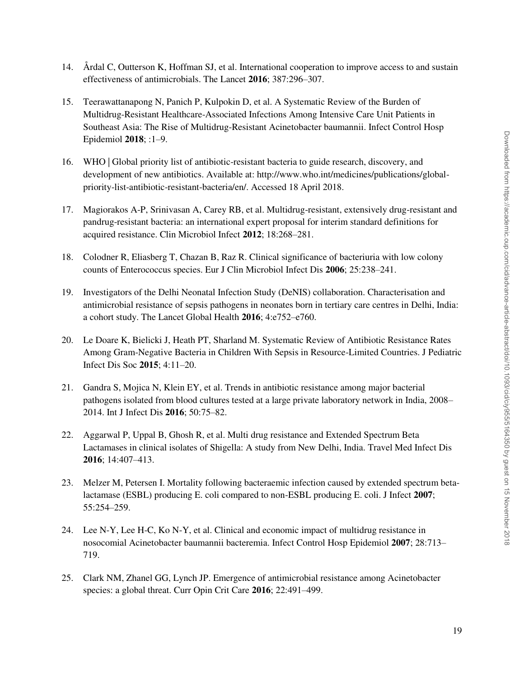- 14. Årdal C, Outterson K, Hoffman SJ, et al. International cooperation to improve access to and sustain effectiveness of antimicrobials. The Lancet **2016**; 387:296–307.
- 15. Teerawattanapong N, Panich P, Kulpokin D, et al. A Systematic Review of the Burden of Multidrug-Resistant Healthcare-Associated Infections Among Intensive Care Unit Patients in Southeast Asia: The Rise of Multidrug-Resistant Acinetobacter baumannii. Infect Control Hosp Epidemiol **2018**; :1–9.
- 16. WHO | Global priority list of antibiotic-resistant bacteria to guide research, discovery, and development of new antibiotics. Available at: http://www.who.int/medicines/publications/globalpriority-list-antibiotic-resistant-bacteria/en/. Accessed 18 April 2018.
- 17. Magiorakos A-P, Srinivasan A, Carey RB, et al. Multidrug-resistant, extensively drug-resistant and pandrug-resistant bacteria: an international expert proposal for interim standard definitions for acquired resistance. Clin Microbiol Infect **2012**; 18:268–281.
- 18. Colodner R, Eliasberg T, Chazan B, Raz R. Clinical significance of bacteriuria with low colony counts of Enterococcus species. Eur J Clin Microbiol Infect Dis **2006**; 25:238–241.
- 19. Investigators of the Delhi Neonatal Infection Study (DeNIS) collaboration. Characterisation and antimicrobial resistance of sepsis pathogens in neonates born in tertiary care centres in Delhi, India: a cohort study. The Lancet Global Health **2016**; 4:e752–e760.
- 20. Le Doare K, Bielicki J, Heath PT, Sharland M. Systematic Review of Antibiotic Resistance Rates Among Gram-Negative Bacteria in Children With Sepsis in Resource-Limited Countries. J Pediatric Infect Dis Soc **2015**; 4:11–20.
- 21. Gandra S, Mojica N, Klein EY, et al. Trends in antibiotic resistance among major bacterial pathogens isolated from blood cultures tested at a large private laboratory network in India, 2008– 2014. Int J Infect Dis **2016**; 50:75–82.
- 22. Aggarwal P, Uppal B, Ghosh R, et al. Multi drug resistance and Extended Spectrum Beta Lactamases in clinical isolates of Shigella: A study from New Delhi, India. Travel Med Infect Dis **2016**; 14:407–413.
- 23. Melzer M, Petersen I. Mortality following bacteraemic infection caused by extended spectrum betalactamase (ESBL) producing E. coli compared to non-ESBL producing E. coli. J Infect **2007**; 55:254–259.
- 24. Lee N-Y, Lee H-C, Ko N-Y, et al. Clinical and economic impact of multidrug resistance in nosocomial Acinetobacter baumannii bacteremia. Infect Control Hosp Epidemiol **2007**; 28:713– 719.
- 25. Clark NM, Zhanel GG, Lynch JP. Emergence of antimicrobial resistance among Acinetobacter species: a global threat. Curr Opin Crit Care **2016**; 22:491–499.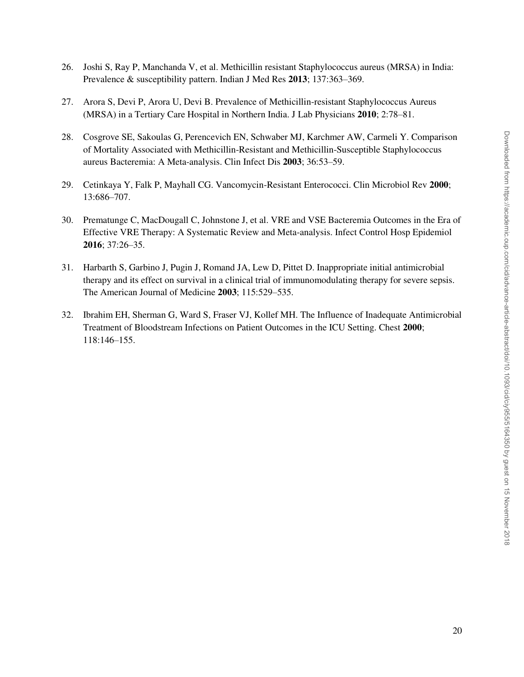- 26. Joshi S, Ray P, Manchanda V, et al. Methicillin resistant Staphylococcus aureus (MRSA) in India: Prevalence & susceptibility pattern. Indian J Med Res **2013**; 137:363–369.
- 27. Arora S, Devi P, Arora U, Devi B. Prevalence of Methicillin-resistant Staphylococcus Aureus (MRSA) in a Tertiary Care Hospital in Northern India. J Lab Physicians **2010**; 2:78–81.
- 28. Cosgrove SE, Sakoulas G, Perencevich EN, Schwaber MJ, Karchmer AW, Carmeli Y. Comparison of Mortality Associated with Methicillin-Resistant and Methicillin-Susceptible Staphylococcus aureus Bacteremia: A Meta-analysis. Clin Infect Dis **2003**; 36:53–59.
- 29. Cetinkaya Y, Falk P, Mayhall CG. Vancomycin-Resistant Enterococci. Clin Microbiol Rev **2000**; 13:686–707.
- 30. Prematunge C, MacDougall C, Johnstone J, et al. VRE and VSE Bacteremia Outcomes in the Era of Effective VRE Therapy: A Systematic Review and Meta-analysis. Infect Control Hosp Epidemiol **2016**; 37:26–35.
- 31. Harbarth S, Garbino J, Pugin J, Romand JA, Lew D, Pittet D. Inappropriate initial antimicrobial therapy and its effect on survival in a clinical trial of immunomodulating therapy for severe sepsis. The American Journal of Medicine **2003**; 115:529–535.
- 32. Ibrahim EH, Sherman G, Ward S, Fraser VJ, Kollef MH. The Influence of Inadequate Antimicrobial Treatment of Bloodstream Infections on Patient Outcomes in the ICU Setting. Chest **2000**; 118:146–155.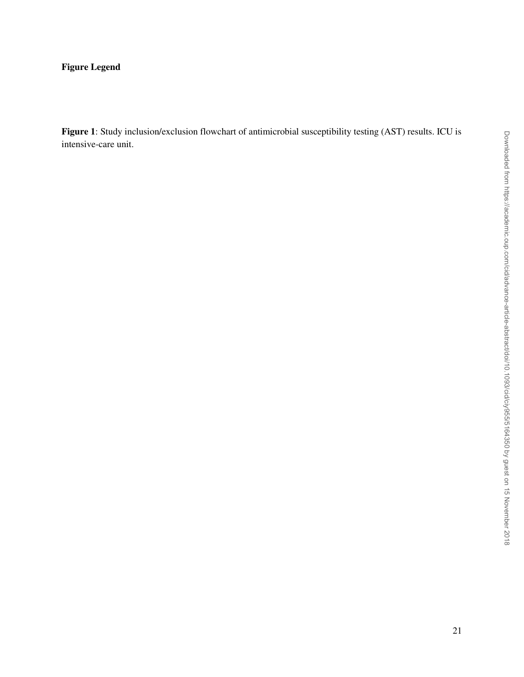# **Figure Legend**

**Figure 1**: Study inclusion/exclusion flowchart of antimicrobial susceptibility testing (AST) results. ICU is intensive-care unit.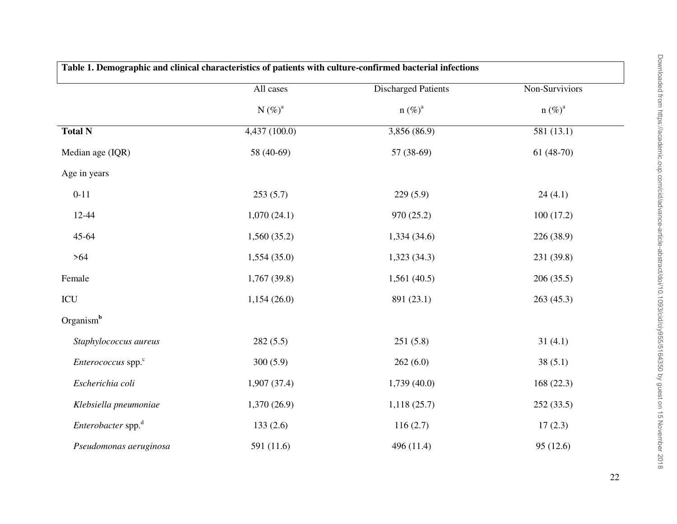|                                | All cases    | <b>Discharged Patients</b> | Non-Surviviors |
|--------------------------------|--------------|----------------------------|----------------|
|                                | $N(\%)^a$    | $n (\%)^a$                 | $n (\%)^a$     |
| <b>Total N</b>                 | 4,437(100.0) | 3,856 (86.9)               | 581 (13.1)     |
| Median age (IQR)               | 58 (40-69)   | $57(38-69)$                | $61(48-70)$    |
| Age in years                   |              |                            |                |
| $0 - 11$                       | 253(5.7)     | 229(5.9)                   | 24(4.1)        |
| 12-44                          | 1,070(24.1)  | 970 (25.2)                 | 100(17.2)      |
| 45-64                          | 1,560(35.2)  | 1,334(34.6)                | 226 (38.9)     |
| $>64$                          | 1,554(35.0)  | 1,323(34.3)                | 231 (39.8)     |
| Female                         | 1,767(39.8)  | 1,561(40.5)                | 206(35.5)      |
| $\rm{ICU}$                     | 1,154(26.0)  | 891 (23.1)                 | 263 (45.3)     |
| Organism <sup>b</sup>          |              |                            |                |
| Staphylococcus aureus          | 282(5.5)     | 251(5.8)                   | 31(4.1)        |
| Enterococcus spp. <sup>c</sup> | 300(5.9)     | 262(6.0)                   | 38(5.1)        |
| Escherichia coli               | 1,907(37.4)  | 1,739(40.0)                | 168(22.3)      |
| Klebsiella pneumoniae          | 1,370(26.9)  | 1,118(25.7)                | 252 (33.5)     |
| Enterobacter spp. <sup>d</sup> | 133(2.6)     | 116(2.7)                   | 17(2.3)        |
| Pseudomonas aeruginosa         | 591 (11.6)   | 496 (11.4)                 | 95 (12.6)      |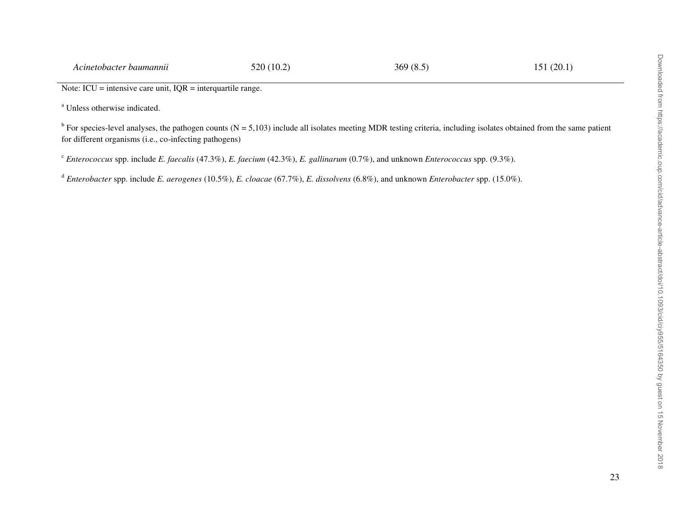| 520 (10.2)<br>369 (8.5)<br>(20)<br>Acinetobacter baumannii<br>____ |
|--------------------------------------------------------------------|
|--------------------------------------------------------------------|

Note:  $ICU =$  intensive care unit,  $IQR =$  interquartile range.

a Unless otherwise indicated.

<sup>b</sup> For species-level analyses, the pathogen counts ( $N = 5,103$ ) include all isolates meeting MDR testing criteria, including isolates obtained from the same patient for different organisms (i.e., co-infecting pathogens)

<sup>c</sup> *Enterococcus* spp. include *E. faecalis* (47.3%), *E. faecium* (42.3%), *E. gallinarum* (0.7%), and unknown *Enterococcus* spp. (9.3%).

<sup>d</sup> *Enterobacter* spp. include *E. aerogenes* (10.5%), *E. cloacae* (67.7%), *E. dissolvens* (6.8%), and unknown *Enterobacter* spp. (15.0%).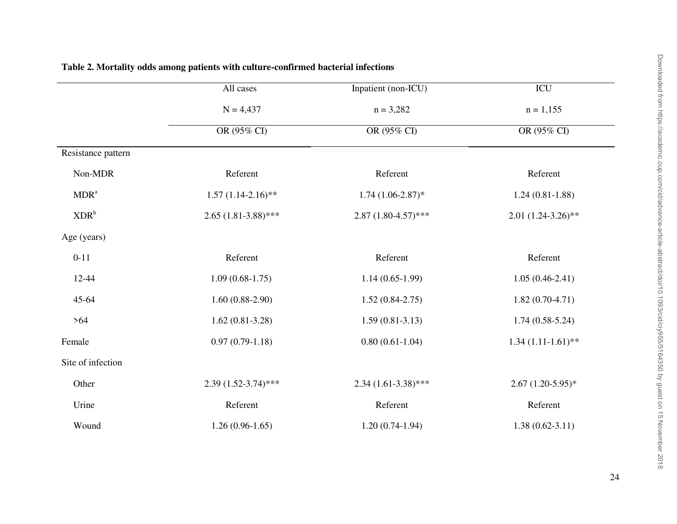|                    | All cases             | Inpatient (non-ICU)   | ICU                  |
|--------------------|-----------------------|-----------------------|----------------------|
|                    | $N = 4,437$           | $n = 3,282$           | $n = 1,155$          |
|                    | OR (95% CI)           | OR (95% CI)           | OR (95% CI)          |
| Resistance pattern |                       |                       |                      |
| Non-MDR            | Referent              | Referent              | Referent             |
| MDR <sup>a</sup>   | $1.57(1.14-2.16)$ **  | $1.74(1.06-2.87)$ *   | $1.24(0.81-1.88)$    |
| $XDR^b$            | $2.65(1.81-3.88)$ *** | $2.87(1.80-4.57)$ *** | $2.01(1.24-3.26)$ ** |
| Age (years)        |                       |                       |                      |
| $0 - 11$           | Referent              | Referent              | Referent             |
| 12-44              | $1.09(0.68-1.75)$     | $1.14(0.65-1.99)$     | $1.05(0.46-2.41)$    |
| 45-64              | $1.60(0.88-2.90)$     | $1.52(0.84-2.75)$     | $1.82(0.70-4.71)$    |
| $>64$              | $1.62(0.81-3.28)$     | $1.59(0.81-3.13)$     | $1.74(0.58-5.24)$    |
| Female             | $0.97(0.79-1.18)$     | $0.80(0.61-1.04)$     | $1.34(1.11-1.61)$ ** |
| Site of infection  |                       |                       |                      |
| Other              | $2.39(1.52-3.74)$ *** | $2.34(1.61-3.38)$ *** | $2.67(1.20-5.95)$ *  |
| Urine              | Referent              | Referent              | Referent             |
| Wound              | $1.26(0.96-1.65)$     | $1.20(0.74-1.94)$     | $1.38(0.62 - 3.11)$  |

# **Table 2. Mortality odds among patients with culture-confirmed bacterial infections**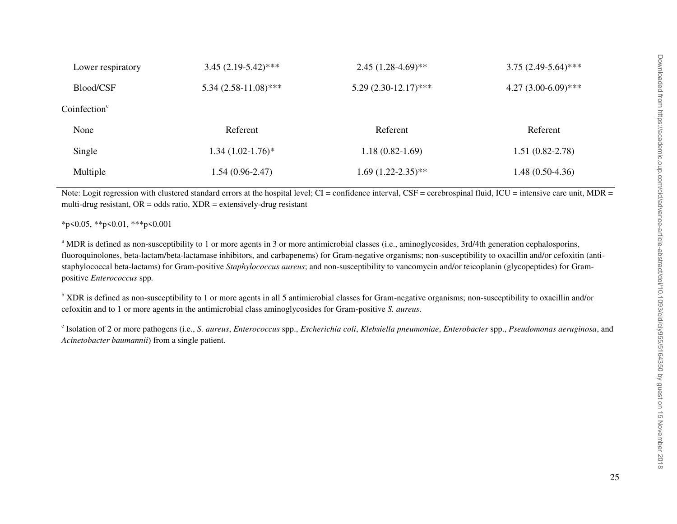| Lower respiratory        | $3.45(2.19-5.42)$ ***  | $2.45(1.28-4.69)$ **   | $3.75(2.49-5.64)$ *** |
|--------------------------|------------------------|------------------------|-----------------------|
| Blood/CSF                | $5.34$ (2.58-11.08)*** | $5.29(2.30-12.17)$ *** | $4.27(3.00-6.09)$ *** |
| Cointection <sup>c</sup> |                        |                        |                       |
| None                     | Referent               | Referent               | Referent              |
| Single                   | $1.34(1.02-1.76)$ *    | $1.18(0.82 - 1.69)$    | $1.51(0.82 - 2.78)$   |
| Multiple                 | 1.54 (0.96-2.47)       | $1.69(1.22-2.35)$ **   | $1.48(0.50-4.36)$     |

Note: Logit regression with clustered standard errors at the hospital level; CI = confidence interval, CSF = cerebrospinal fluid, ICU = intensive care unit, MDR = multi-drug resistant,  $OR = odds ratio$ ,  $XDR = extensively-drug resistant$ 

\*p<0.05, \*\*p<0.01, \*\*\*p<0.001

<sup>a</sup> MDR is defined as non-susceptibility to 1 or more agents in 3 or more antimicrobial classes (i.e., aminoglycosides, 3rd/4th generation cephalosporins, fluoroquinolones, beta-lactam/beta-lactamase inhibitors, and carbapenems) for Gram-negative organisms; non-susceptibility to oxacillin and/or cefoxitin (antistaphylococcal beta-lactams) for Gram-positive *Staphylococcus aureus*; and non-susceptibility to vancomycin and/or teicoplanin (glycopeptides) for Grampositive *Enterococcus* spp*.* 

<sup>b</sup> XDR is defined as non-susceptibility to 1 or more agents in all 5 antimicrobial classes for Gram-negative organisms; non-susceptibility to oxacillin and/or cefoxitin and to 1 or more agents in the antimicrobial class aminoglycosides for Gram-positive *S. aureus*.

c Isolation of 2 or more pathogens (i.e., *S. aureus*, *Enterococcus* spp., *Escherichia coli*, *Klebsiella pneumoniae*, *Enterobacter* spp., *Pseudomonas aeruginosa*, and *Acinetobacter baumannii*) from a single patient.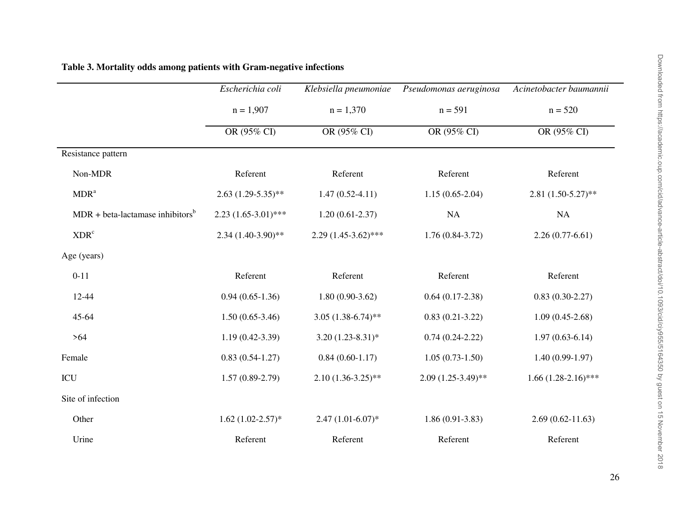|                                    | Escherichia coli       | Klebsiella pneumoniae | Pseudomonas aeruginosa | Acinetobacter baumannii |
|------------------------------------|------------------------|-----------------------|------------------------|-------------------------|
|                                    | $n = 1,907$            | $n = 1,370$           | $n = 591$              | $n = 520$               |
|                                    | OR (95% CI)            | OR (95% CI)           | OR (95% CI)            | OR (95% CI)             |
| Resistance pattern                 |                        |                       |                        |                         |
| Non-MDR                            | Referent               | Referent              | Referent               | Referent                |
| MDR <sup>a</sup>                   | $2.63(1.29-5.35)$ **   | $1.47(0.52 - 4.11)$   | $1.15(0.65-2.04)$      | $2.81(1.50-5.27)$ **    |
| $MDR + beta-lactamase inhibitorsb$ | $2.23(1.65-3.01)$ ***  | $1.20(0.61-2.37)$     | NA                     | <b>NA</b>               |
| XDR <sup>c</sup>                   | $2.34(1.40-3.90)$ **   | $2.29(1.45-3.62)$ *** | $1.76(0.84-3.72)$      | $2.26(0.77-6.61)$       |
| Age (years)                        |                        |                       |                        |                         |
| $0 - 11$                           | Referent               | Referent              | Referent               | Referent                |
| 12-44                              | $0.94(0.65-1.36)$      | $1.80(0.90-3.62)$     | $0.64(0.17-2.38)$      | $0.83(0.30-2.27)$       |
| 45-64                              | $1.50(0.65-3.46)$      | $3.05(1.38-6.74)$ **  | $0.83(0.21-3.22)$      | $1.09(0.45-2.68)$       |
| $>64$                              | $1.19(0.42 - 3.39)$    | $3.20(1.23-8.31)*$    | $0.74(0.24-2.22)$      | $1.97(0.63-6.14)$       |
| Female                             | $0.83(0.54-1.27)$      | $0.84(0.60-1.17)$     | $1.05(0.73-1.50)$      | $1.40(0.99-1.97)$       |
| ICU                                | $1.57(0.89-2.79)$      | $2.10(1.36-3.25)$ **  | $2.09(1.25-3.49)$ **   | $1.66(1.28-2.16)$ ***   |
| Site of infection                  |                        |                       |                        |                         |
| Other                              | $1.62 (1.02 - 2.57)^*$ | $2.47(1.01-6.07)*$    | $1.86(0.91 - 3.83)$    | $2.69(0.62 - 11.63)$    |
| Urine                              | Referent               | Referent              | Referent               | Referent                |

# **Table 3. Mortality odds among patients with Gram-negative infections**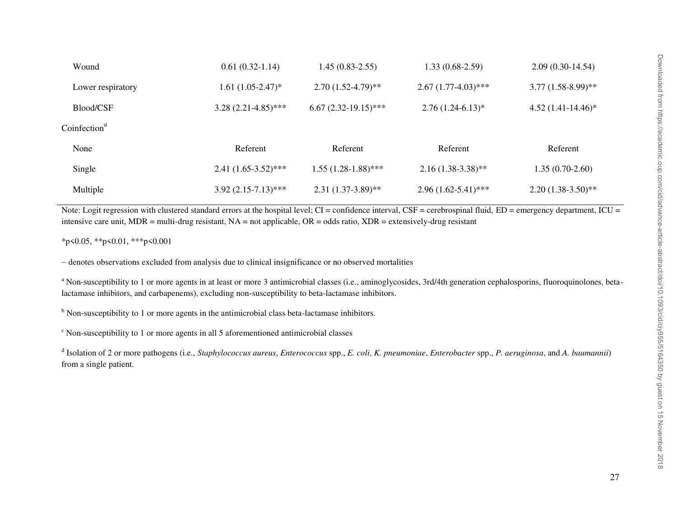| Wound                    | $0.61(0.32-1.14)$      | $1.45(0.83-2.55)$      | $1.33(0.68-2.59)$     | $2.09(0.30-14.54)$   |
|--------------------------|------------------------|------------------------|-----------------------|----------------------|
| Lower respiratory        | $1.61 (1.05 - 2.47)^*$ | $2.70(1.52-4.79)$ **   | $2.67(1.77-4.03)$ *** | $3.77(1.58-8.99)$ ** |
| Blood/CSF                | $3.28(2.21-4.85)$ ***  | $6.67(2.32-19.15)$ *** | $2.76(1.24-6.13)^*$   | $4.52(1.41-14.46)$ * |
| Cointection <sup>d</sup> |                        |                        |                       |                      |
|                          |                        |                        |                       |                      |
| None                     | Referent               | Referent               | Referent              | Referent             |
| Single                   | $2.41(1.65-3.52)$ ***  | $1.55(1.28-1.88)$ ***  | $2.16(1.38-3.38)$ **  | $1.35(0.70-2.60)$    |

Note: Logit regression with clustered standard errors at the hospital level; CI = confidence interval, CSF = cerebrospinal fluid, ED = emergency department, ICU = intensive care unit, MDR = multi-drug resistant, NA = not applicable, OR = odds ratio, XDR = extensively-drug resistant

\*p<0.05, \*\*p<0.01, \*\*\*p<0.001

– denotes observations excluded from analysis due to clinical insignificance or no observed mortalities

<sup>a</sup> Non-susceptibility to 1 or more agents in at least or more 3 antimicrobial classes (i.e., aminoglycosides, 3rd/4th generation cephalosporins, fluoroquinolones, betalactamase inhibitors, and carbapenems), excluding non-susceptibility to beta-lactamase inhibitors.

<sup>b</sup> Non-susceptibility to 1 or more agents in the antimicrobial class beta-lactamase inhibitors.

<sup>c</sup> Non-susceptibility to 1 or more agents in all 5 aforementioned antimicrobial classes

d Isolation of 2 or more pathogens (i.e., *Staphylococcus aureus*, *Enterococcus* spp., *E. coli*, *K. pneumoniae*, *Enterobacter* spp., *P. aeruginosa*, and *A. baumannii*) from a single patient.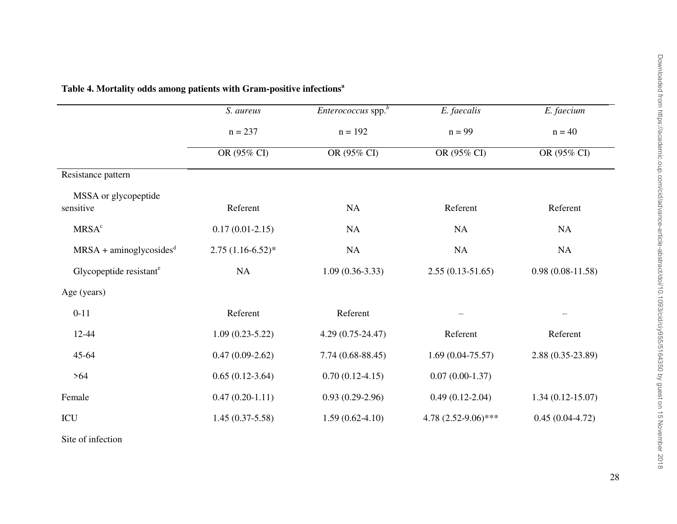|                                     | S. aureus           | <i>Enterococcus</i> spp. <sup>b</sup> | E. faecalis            | E. faecium           |
|-------------------------------------|---------------------|---------------------------------------|------------------------|----------------------|
|                                     | $n = 237$           | $n = 192$                             | $n = 99$               | $n = 40$             |
|                                     | OR (95% CI)         | OR (95% CI)                           | OR (95% CI)            | OR (95% CI)          |
| Resistance pattern                  |                     |                                       |                        |                      |
| MSSA or glycopeptide<br>sensitive   | Referent            | <b>NA</b>                             | Referent               | Referent             |
| MRSA <sup>c</sup>                   | $0.17(0.01-2.15)$   | <b>NA</b>                             | NA                     | NA                   |
| $MRSA + aminoglycosidesd$           | $2.75(1.16-6.52)*$  | NA                                    | NA                     | NA                   |
| Glycopeptide resistant <sup>e</sup> | <b>NA</b>           | $1.09(0.36-3.33)$                     | $2.55(0.13-51.65)$     | $0.98(0.08-11.58)$   |
| Age (years)                         |                     |                                       |                        |                      |
| $0 - 11$                            | Referent            | Referent                              |                        |                      |
| 12-44                               | $1.09(0.23 - 5.22)$ | $4.29(0.75-24.47)$                    | Referent               | Referent             |
| $45 - 64$                           | $0.47(0.09-2.62)$   | $7.74(0.68 - 88.45)$                  | $1.69(0.04-75.57)$     | 2.88 (0.35-23.89)    |
| $>64$                               | $0.65(0.12-3.64)$   | $0.70(0.12-4.15)$                     | $0.07(0.00-1.37)$      |                      |
| Female                              | $0.47(0.20-1.11)$   | $0.93(0.29-2.96)$                     | $0.49(0.12-2.04)$      | $1.34(0.12 - 15.07)$ |
| ICU                                 | $1.45(0.37-5.58)$   | $1.59(0.62 - 4.10)$                   | 4.78 $(2.52-9.06)$ *** | $0.45(0.04-4.72)$    |

**Table 4. Mortality odds among patients with Gram-positive infections<sup>a</sup>**

Site of infection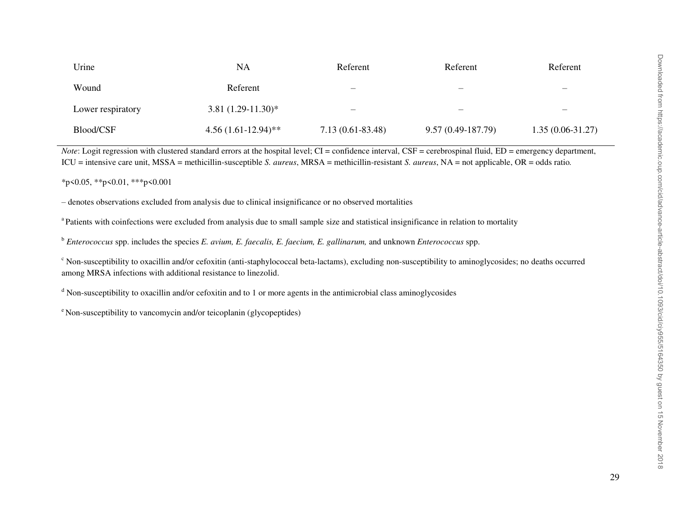| Urine             | <b>NA</b>             | Referent                 | Referent                 | Referent                 |
|-------------------|-----------------------|--------------------------|--------------------------|--------------------------|
| Wound             | Referent              | $\overline{\phantom{m}}$ | $\overline{\phantom{0}}$ | $\overline{\phantom{0}}$ |
| Lower respiratory | $3.81(1.29-11.30)^*$  | $\qquad \qquad -$        | -                        | $\overline{\phantom{0}}$ |
| Blood/CSF         | $4.56(1.61-12.94)$ ** | $7.13(0.61 - 83.48)$     | $9.57(0.49-187.79)$      | $1.35(0.06-31.27)$       |

*Note*: Logit regression with clustered standard errors at the hospital level; CI = confidence interval, CSF = cerebrospinal fluid, ED = emergency department, ICU = intensive care unit, MSSA = methicillin-susceptible *S. aureus*, MRSA = methicillin-resistant *S. aureus*, NA = not applicable, OR = odds ratio*.*

 $*p<0.05$ ,  $*p<0.01$ ,  $**p<0.001$ 

– denotes observations excluded from analysis due to clinical insignificance or no observed mortalities

<sup>a</sup> Patients with coinfections were excluded from analysis due to small sample size and statistical insignificance in relation to mortality

<sup>b</sup> *Enterococcus* spp. includes the species *E. avium, E. faecalis, E. faecium, E. gallinarum,* and unknown *Enterococcus* spp.

<sup>c</sup> Non-susceptibility to oxacillin and/or cefoxitin (anti-staphylococcal beta-lactams), excluding non-susceptibility to aminoglycosides; no deaths occurred among MRSA infections with additional resistance to linezolid.

<sup>d</sup> Non-susceptibility to oxacillin and/or cefoxitin and to 1 or more agents in the antimicrobial class aminoglycosides

 $e<sup>e</sup>$  Non-susceptibility to vancomycin and/or teicoplanin (glycopeptides)